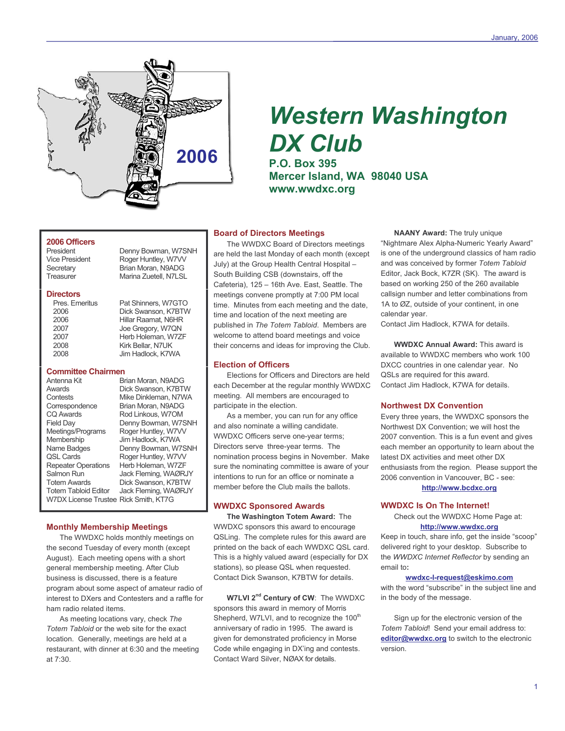

# **Western Washington DX Club**

**P.O. Box 395** Mercer Island, WA 98040 USA www.wwdxc.org

## 2006 Officers

President **Vice President** Secretary Treasurer

#### **Directors**

#### **Committee Chairmen**

Antenna Kit **Awards** Contests Correspondence CO Awards Field Day Meetings/Programs Membership Name Badges QSL Cards **Repeater Operations** Salmon Run **Totem Awards Totem Tabloid Editor** W7DX License Trustee Rick Smith, KT7G

Brian Moran, N9ADG Dick Swanson, K7BTW Mike Dinkleman, N7WA Brian Moran, N9ADG Rod Linkous, W7OM Denny Bowman, W7SNH Roger Huntley, W7VV Jim Hadlock, K7WA Denny Bowman, W7SNH Roger Huntley, W7VV Herb Holeman, W7ZF Jack Fleming, WAØRJY Dick Swanson, K7BTW Jack Fleming, WAØRJY

Denny Bowman, W7SNH

Roger Huntley, W7VV

Brian Moran, N9ADG

Marina Zuetell, N7LSL

Pat Shinners, W7GTO

Dick Swanson, K7BTW

Hillar Raamat, N6HR

Joe Gregory, W7QN

Kirk Bellar, N7UK

Jim Hadlock, K7WA

Herb Holeman, W7ZF

#### **Monthly Membership Meetings**

The WWDXC holds monthly meetings on the second Tuesday of every month (except August). Each meeting opens with a short general membership meeting. After Club business is discussed, there is a feature program about some aspect of amateur radio of interest to DXers and Contesters and a raffle for ham radio related items

As meeting locations vary, check The Totem Tabloid or the web site for the exact location. Generally, meetings are held at a restaurant, with dinner at 6:30 and the meeting at  $7:30.$ 

## **Board of Directors Meetings**

The WWDXC Board of Directors meetings are held the last Monday of each month (except July) at the Group Health Central Hospital -South Building CSB (downstairs, off the Cafeteria), 125 - 16th Ave. East, Seattle. The meetings convene promptly at 7:00 PM local time. Minutes from each meeting and the date, time and location of the next meeting are published in The Totem Tabloid. Members are welcome to attend board meetings and voice their concerns and ideas for improving the Club.

#### **Election of Officers**

Elections for Officers and Directors are held each December at the regular monthly WWDXC meeting. All members are encouraged to participate in the election.

As a member, you can run for any office and also nominate a willing candidate. WWDXC Officers serve one-year terms; Directors serve three-year terms. The nomination process begins in November. Make sure the nominating committee is aware of your intentions to run for an office or nominate a member before the Club mails the ballots.

#### **WWDXC Sponsored Awards**

The Washington Totem Award: The WWDXC sponsors this award to encourage QSLing. The complete rules for this award are printed on the back of each WWDXC QSL card. This is a highly valued award (especially for DX stations), so please QSL when requested. Contact Dick Swanson, K7BTW for details.

W7LVI 2<sup>nd</sup> Century of CW: The WWDXC sponsors this award in memory of Morris Shepherd, W7LVI, and to recognize the 100<sup>th</sup> anniversary of radio in 1995. The award is given for demonstrated proficiency in Morse Code while engaging in DX'ing and contests. Contact Ward Silver, NØAX for details.

**NAANY Award:** The truly unique "Nightmare Alex Alpha-Numeric Yearly Award" is one of the underground classics of ham radio and was conceived by former Totem Tabloid Editor, Jack Bock, K7ZR (SK). The award is based on working 250 of the 260 available callsign number and letter combinations from 1A to ØZ, outside of your continent, in one calendar year.

Contact Jim Hadlock, K7WA for details.

**WWDXC Annual Award: This award is** available to WWDXC members who work 100 DXCC countries in one calendar year. No QSLs are required for this award. Contact Jim Hadlock, K7WA for details.

#### **Northwest DX Convention**

Every three years, the WWDXC sponsors the Northwest DX Convention; we will host the 2007 convention. This is a fun event and gives each member an opportunity to learn about the latest DX activities and meet other DX enthusiasts from the region. Please support the 2006 convention in Vancouver, BC - see: http://www.bcdxc.org

#### **WWDXC Is On The Internet!**

Check out the WWDXC Home Page at: http://www.wwdxc.org

Keep in touch, share info, get the inside "scoop" delivered right to your desktop. Subscribe to the WWDXC Internet Reflector by sending an email to:

#### wwdxc-l-request@eskimo.com

with the word "subscribe" in the subject line and in the body of the message.

Sign up for the electronic version of the Totem Tabloid! Send your email address to: editor@wwdxc.org to switch to the electronic version.